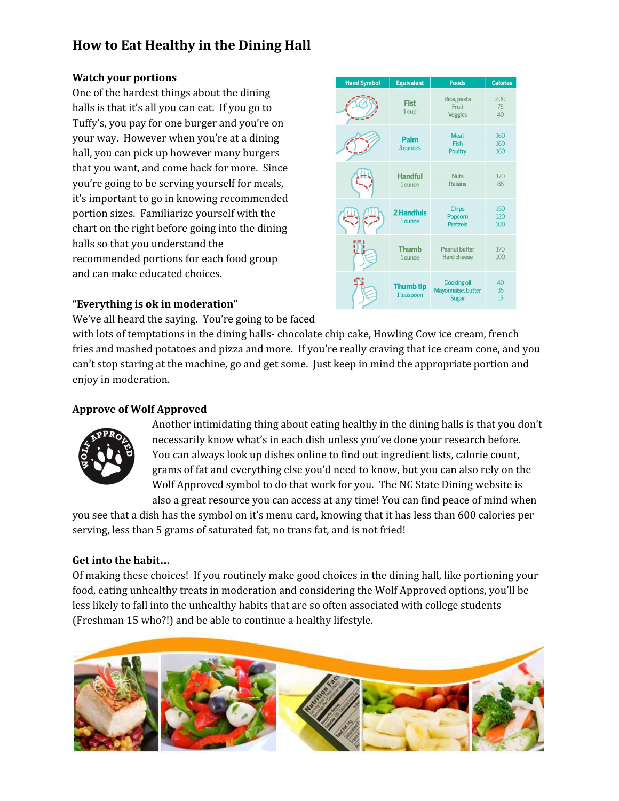# **How to Eat Healthy in the Dining Hall**

#### **Watch your portions**

One of the hardest things about the dining halls is that it's all you can eat. If you go to Tuffy's, you pay for one burger and you're on your way. However when you're at a dining hall, you can pick up however many burgers that you want, and come back for more. Since you're going to be serving yourself for meals, it's important to go in knowing recommended portion sizes. Familiarize yourself with the chart on the right before going into the dining halls so that you understand the recommended portions for each food group and can make educated choices.



### **"Everything is ok in moderation"**

We've all heard the saying. You're going to be faced

with lots of temptations in the dining halls- chocolate chip cake, Howling Cow ice cream, french fries and mashed potatoes and pizza and more. If you're really craving that ice cream cone, and you can't stop staring at the machine, go and get some. Just keep in mind the appropriate portion and enjoy in moderation.

## **Approve of Wolf Approved**



Another intimidating thing about eating healthy in the dining halls is that you don't necessarily know what's in each dish unless you've done your research before. You can always look up dishes online to find out ingredient lists, calorie count, grams of fat and everything else you'd need to know, but you can also rely on the Wolf Approved symbol to do that work for you. The NC State Dining website is also a great resource you can access at any time! You can find peace of mind when

you see that a dish has the symbol on it's menu card, knowing that it has less than 600 calories per serving, less than 5 grams of saturated fat, no trans fat, and is not fried!

## **Get into the habit**…

Of making these choices! If you routinely make good choices in the dining hall, like portioning your food, eating unhealthy treats in moderation and considering the Wolf Approved options, you'll be less likely to fall into the unhealthy habits that are so often associated with college students (Freshman 15 who?!) and be able to continue a healthy lifestyle.